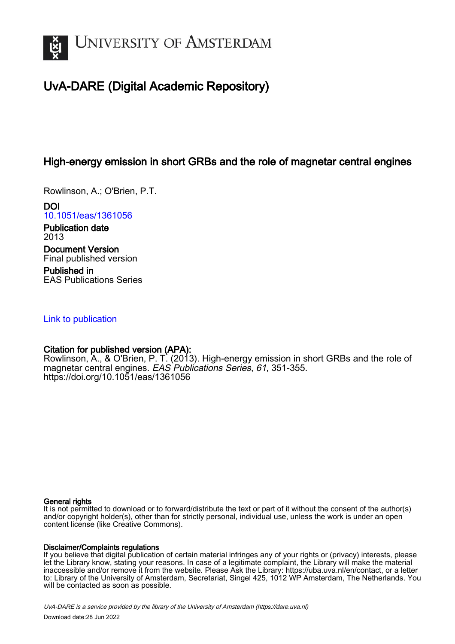

# UvA-DARE (Digital Academic Repository)

## High-energy emission in short GRBs and the role of magnetar central engines

Rowlinson, A.; O'Brien, P.T.

DOI [10.1051/eas/1361056](https://doi.org/10.1051/eas/1361056)

Publication date 2013 Document Version Final published version

Published in EAS Publications Series

## [Link to publication](https://dare.uva.nl/personal/pure/en/publications/highenergy-emission-in-short-grbs-and-the-role-of-magnetar-central-engines(e40b0063-96eb-4999-a42c-60bce8b2f877).html)

## Citation for published version (APA):

Rowlinson, A., & O'Brien, P. T. (2013). High-energy emission in short GRBs and the role of magnetar central engines. EAS Publications Series, 61, 351-355. <https://doi.org/10.1051/eas/1361056>

### General rights

It is not permitted to download or to forward/distribute the text or part of it without the consent of the author(s) and/or copyright holder(s), other than for strictly personal, individual use, unless the work is under an open content license (like Creative Commons).

## Disclaimer/Complaints regulations

If you believe that digital publication of certain material infringes any of your rights or (privacy) interests, please let the Library know, stating your reasons. In case of a legitimate complaint, the Library will make the material inaccessible and/or remove it from the website. Please Ask the Library: https://uba.uva.nl/en/contact, or a letter to: Library of the University of Amsterdam, Secretariat, Singel 425, 1012 WP Amsterdam, The Netherlands. You will be contacted as soon as possible.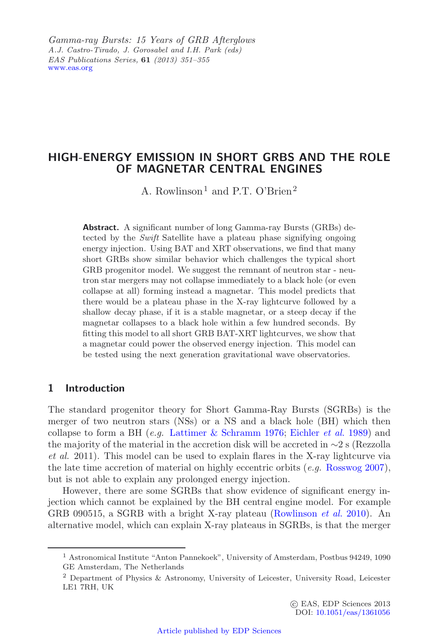Gamma-ray Bursts: 15 Years of GRB Afternlows *Gamma-ray Bursts: 15 Years of GRB Afterglows A.J. Castro-Tirado, J. Gorosabel and I.H. Park (eds) EAS Publications Series,* **61** *(2013) 351–355* [www.eas.org](http://www.eas.org)

## **HIGH-ENERGY EMISSION IN SHORT GRBS AND THE ROLE OF MAGNETAR CENTRAL ENGINES**

A. Rowlinson<sup>1</sup> and P.T. O'Brien<sup>2</sup>

**Abstract.** A significant number of long Gamma-ray Bursts (GRBs) detected by the *Swift* Satellite have a plateau phase signifying ongoing energy injection. Using BAT and XRT observations, we find that many short GRBs show similar behavior which challenges the typical short GRB progenitor model. We suggest the remnant of neutron star - neutron star mergers may not collapse immediately to a black hole (or even collapse at all) forming instead a magnetar. This model predicts that there would be a plateau phase in the X-ray lightcurve followed by a shallow decay phase, if it is a stable magnetar, or a steep decay if the magnetar collapses to a black hole within a few hundred seconds. By fitting this model to all short GRB BAT-XRT lightcurves, we show that a magnetar could power the observed energy injection. This model can be tested using the next generation gravitational wave observatories.

## **1 Introduction**

The standard progenitor theory for Short Gamma-Ray Bursts (SGRBs) is the merger of two neutron stars (NSs) or a NS and a black hole (BH) which then collapse to form a BH (*e.g.* [Lattimer & Schramm 1976;](#page-5-0) [Eichler](#page-5-1) *et al.* [1989\)](#page-5-1) and the majority of the material in the accretion disk will be accreted in ∼2 s (Rezzolla *et al.* 2011). This model can be used to explain flares in the X-ray lightcurve via the late time accretion of material on highly eccentric orbits (*e.g.* [Rosswog 2007\)](#page-5-2), but is not able to explain any prolonged energy injection.

However, there are some SGRBs that show evidence of significant energy injection which cannot be explained by the BH central engine model. For example GRB 090515, a SGRB with a bright X-ray plateau [\(Rowlinson](#page-5-3) *et al.* [2010\)](#page-5-3). An alternative model, which can explain X-ray plateaus in SGRBs, is that the merger

<sup>1</sup> Astronomical Institute "Anton Pannekoek", University of Amsterdam, Postbus 94249, 1090 GE Amsterdam, The Netherlands

<sup>2</sup> Department of Physics & Astronomy, University of Leicester, University Road, Leicester LE1 7RH, UK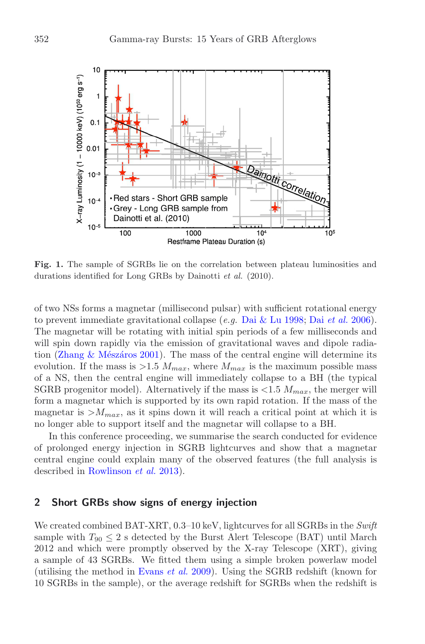<span id="page-2-0"></span>

**Fig. 1.** The sample of SGRBs lie on the correlation between plateau luminosities and durations identified for Long GRBs by Dainotti *et al.* (2010).

of two NSs forms a magnetar (millisecond pulsar) with sufficient rotational energy to prevent immediate gravitational collapse (*e.g.* [Dai & Lu 1998](#page-5-4); [Dai](#page-5-5) *et al.* [2006](#page-5-5)). The magnetar will be rotating with initial spin periods of a few milliseconds and will spin down rapidly via the emission of gravitational waves and dipole radiation (Zhang & Mészáros 2001). The mass of the central engine will determine its evolution. If the mass is  $>1.5$   $M_{max}$ , where  $M_{max}$  is the maximum possible mass of a NS, then the central engine will immediately collapse to a BH (the typical SGRB progenitor model). Alternatively if the mass is  $\langle 1.5 \, M_{max}$ , the merger will form a magnetar which is supported by its own rapid rotation. If the mass of the magnetar is  $>M_{max}$ , as it spins down it will reach a critical point at which it is no longer able to support itself and the magnetar will collapse to a BH.

In this conference proceeding, we summarise the search conducted for evidence of prolonged energy injection in SGRB lightcurves and show that a magnetar central engine could explain many of the observed features (the full analysis is described in [Rowlinson](#page-5-7) *et al.* [2013\)](#page-5-7).

#### **2 Short GRBs show signs of energy injection**

We created combined BAT-XRT, 0.3–10 keV, lightcurves for all SGRBs in the *Swift* sample with  $T_{90} \leq 2$  s detected by the Burst Alert Telescope (BAT) until March 2012 and which were promptly observed by the X-ray Telescope (XRT), giving a sample of 43 SGRBs. We fitted them using a simple broken powerlaw model (utilising the method in [Evans](#page-5-8) *et al.* [2009](#page-5-8)). Using the SGRB redshift (known for 10 SGRBs in the sample), or the average redshift for SGRBs when the redshift is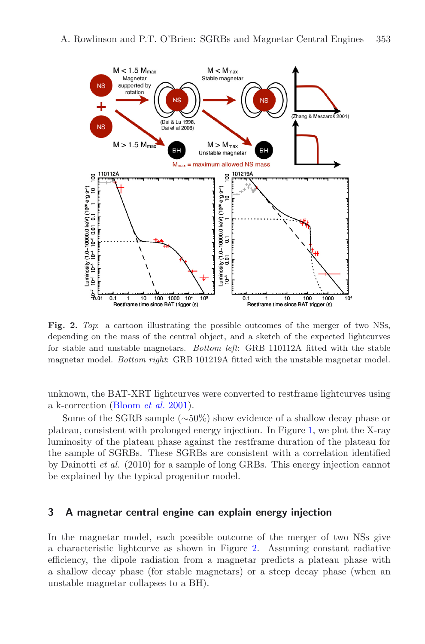

<span id="page-3-0"></span>**Fig. 2.** *Top*: a cartoon illustrating the possible outcomes of the merger of two NSs, depending on the mass of the central object, and a sketch of the expected lightcurves for stable and unstable magnetars. *Bottom left*: GRB 110112A fitted with the stable magnetar model. *Bottom right*: GRB 101219A fitted with the unstable magnetar model.

unknown, the BAT-XRT lightcurves were converted to restframe lightcurves using a k-correction [\(Bloom](#page-5-9) *et al.* [2001](#page-5-9)).

Some of the SGRB sample (∼50%) show evidence of a shallow decay phase or plateau, consistent with prolonged energy injection. In Figure [1,](#page-2-0) we plot the X-ray luminosity of the plateau phase against the restframe duration of the plateau for the sample of SGRBs. These SGRBs are consistent with a correlation identified by Dainotti *et al.* (2010) for a sample of long GRBs. This energy injection cannot be explained by the typical progenitor model.

### **3 A magnetar central engine can explain energy injection**

In the magnetar model, each possible outcome of the merger of two NSs give a characteristic lightcurve as shown in Figure [2.](#page-3-0) Assuming constant radiative efficiency, the dipole radiation from a magnetar predicts a plateau phase with a shallow decay phase (for stable magnetars) or a steep decay phase (when an unstable magnetar collapses to a BH).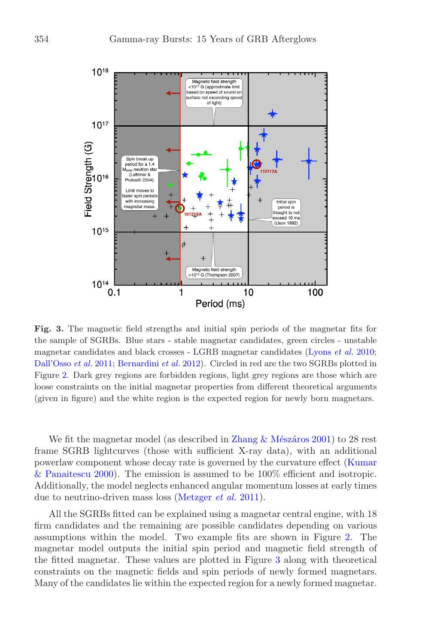

<span id="page-4-0"></span>**Fig. 3.** The magnetic field strengths and initial spin periods of the magnetar fits for the sample of SGRBs. Blue stars - stable magnetar candidates, green circles - unstable magnetar candidates and black crosses - LGRB magnetar candidates [\(Lyons](#page-5-10) *et al.* [2010](#page-5-10); [Dall'Osso](#page-5-11) *et al.* [2011](#page-5-11); [Bernardini](#page-5-12) *et al.* [2012](#page-5-12)). Circled in red are the two SGRBs plotted in Figure [2.](#page-3-0) Dark grey regions are forbidden regions, light grey regions are those which are loose constraints on the initial magnetar properties from different theoretical arguments (given in figure) and the white region is the expected region for newly born magnetars.

We fit the magnetar model (as described in Zhang  $\&$  Mészáros 2001) to 28 rest frame SGRB lightcurves (those with sufficient X-ray data), with an additional powerlaw co[mponent whose decay rate is governed by the curvature effect \(](#page-5-13)Kumar & Panaitescu [2000](#page-5-13)). The emission is assumed to be 100% efficient and isotropic. Additionally, the model neglects enhanced angular momentum losses at early times due to neutrino-driven mass loss [\(Metzger](#page-5-14) *et al.* [2011](#page-5-14)).

All the SGRBs fitted can be explained using a magnetar central engine, with 18 firm candidates and the remaining are possible candidates depending on various assumptions within the model. Two example fits are shown in Figure [2.](#page-3-0) The magnetar model outputs the initial spin period and magnetic field strength of the fitted magnetar. These values are plotted in Figure [3](#page-4-0) along with theoretical constraints on the magnetic fields and spin periods of newly formed magnetars. Many of the candidates lie within the expected region for a newly formed magnetar.